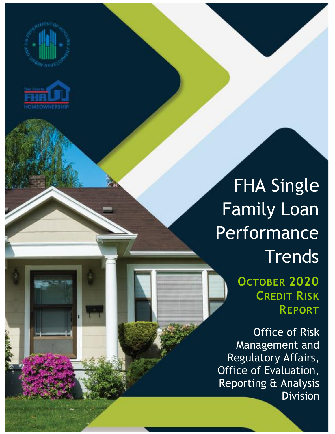



## FHA Single Family Loan Performance **Trends**

**OCTOBER 2020 CREDIT RISK REPORT**

Office of Risk Management and Regulatory Affairs, Office of Evaluation, Reporting & Analysis Division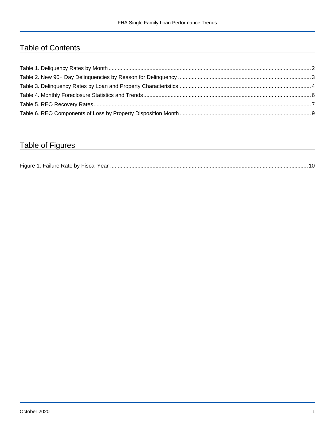## Table of Contents

## Table of Figures

| Figure 1<br>Failure Rate by Fiscal Year. |  |
|------------------------------------------|--|
|------------------------------------------|--|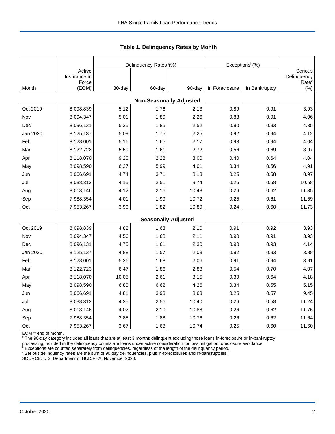|                                |                                 |           | Delinquency Rates <sup>a</sup> (%) |        | Exceptions <sup>b</sup> (%) |               |                                             |  |  |  |
|--------------------------------|---------------------------------|-----------|------------------------------------|--------|-----------------------------|---------------|---------------------------------------------|--|--|--|
|                                | Active<br>Insurance in<br>Force |           |                                    |        |                             |               | Serious<br>Delinquency<br>Rate <sup>c</sup> |  |  |  |
| Month                          | (EOM)                           | $30$ -day | 60-day                             | 90-day | In Foreclosure              | In Bankruptcy | $(\% )$                                     |  |  |  |
| <b>Non-Seasonally Adjusted</b> |                                 |           |                                    |        |                             |               |                                             |  |  |  |
| Oct 2019                       | 8,098,839                       | 5.12      | 1.76                               | 2.13   | 0.89                        | 0.91          | 3.93                                        |  |  |  |
| Nov                            | 8,094,347                       | 5.01      | 1.89                               | 2.26   | 0.88                        | 0.91          | 4.06                                        |  |  |  |
| Dec                            | 8,096,131                       | 5.35      | 1.85                               | 2.52   | 0.90                        | 0.93          | 4.35                                        |  |  |  |
| Jan 2020                       | 8,125,137                       | 5.09      | 1.75                               | 2.25   | 0.92                        | 0.94          | 4.12                                        |  |  |  |
| Feb                            | 8,128,001                       | 5.16      | 1.65                               | 2.17   | 0.93                        | 0.94          | 4.04                                        |  |  |  |
| Mar                            | 8,122,723                       | 5.59      | 1.61                               | 2.72   | 0.56                        | 0.69          | 3.97                                        |  |  |  |
| Apr                            | 8,118,070                       | 9.20      | 2.28                               | 3.00   | 0.40                        | 0.64          | 4.04                                        |  |  |  |
| May                            | 8,098,590                       | 6.37      | 5.99                               | 4.01   | 0.34                        | 0.56          | 4.91                                        |  |  |  |
| Jun                            | 8,066,691                       | 4.74      | 3.71                               | 8.13   | 0.25                        | 0.58          | 8.97                                        |  |  |  |
| Jul                            | 8,038,312                       | 4.15      | 2.51                               | 9.74   | 0.26                        | 0.58          | 10.58                                       |  |  |  |
| Aug                            | 8,013,146                       | 4.12      | 2.16                               | 10.48  | 0.26                        | 0.62          | 11.35                                       |  |  |  |
| Sep                            | 7,988,354                       | 4.01      | 1.99                               | 10.72  | 0.25                        | 0.61          | 11.59                                       |  |  |  |
| Oct                            | 7,953,267                       | 3.90      | 1.82                               | 10.89  | 0.24                        | 0.60          | 11.73                                       |  |  |  |
|                                |                                 |           | <b>Seasonally Adjusted</b>         |        |                             |               |                                             |  |  |  |
| Oct 2019                       | 8,098,839                       | 4.82      | 1.63                               | 2.10   | 0.91                        | 0.92          | 3.93                                        |  |  |  |
| Nov                            | 8,094,347                       | 4.56      | 1.68                               | 2.11   | 0.90                        | 0.91          | 3.93                                        |  |  |  |
| Dec                            | 8,096,131                       | 4.75      | 1.61                               | 2.30   | 0.90                        | 0.93          | 4.14                                        |  |  |  |
| Jan 2020                       | 8,125,137                       | 4.88      | 1.57                               | 2.03   | 0.92                        | 0.93          | 3.88                                        |  |  |  |
| Feb                            | 8,128,001                       | 5.26      | 1.68                               | 2.06   | 0.91                        | 0.94          | 3.91                                        |  |  |  |
| Mar                            | 8,122,723                       | 6.47      | 1.86                               | 2.83   | 0.54                        | 0.70          | 4.07                                        |  |  |  |
| Apr                            | 8,118,070                       | 10.05     | 2.61                               | 3.15   | 0.39                        | 0.64          | 4.18                                        |  |  |  |
| May                            | 8,098,590                       | 6.80      | 6.62                               | 4.26   | 0.34                        | 0.55          | 5.15                                        |  |  |  |
| Jun                            | 8,066,691                       | 4.81      | 3.93                               | 8.63   | 0.25                        | 0.57          | 9.45                                        |  |  |  |
| Jul                            | 8,038,312                       | 4.25      | 2.56                               | 10.40  | 0.26                        | 0.58          | 11.24                                       |  |  |  |
| Aug                            | 8,013,146                       | 4.02      | 2.10                               | 10.88  | 0.26                        | 0.62          | 11.76                                       |  |  |  |
| Sep                            | 7,988,354                       | 3.85      | 1.88                               | 10.76  | 0.26                        | 0.62          | 11.64                                       |  |  |  |
| Oct                            | 7,953,267                       | 3.67      | 1.68                               | 10.74  | 0.25                        | 0.60          | 11.60                                       |  |  |  |

<span id="page-2-0"></span>**Table 1. Delinquency Rates by Month**

EOM = end of month.

<sup>a</sup> The 90-day category includes all loans that are at least 3 months delinquent excluding those loans in-foreclosure or in-bankruptcy

processing.Included in the delinquency counts are loans under active consideration for loss mitigation foreclosure avoidance.

 $b$  Exceptions are counted separately from delinquencies, regardless of the length of the delinquency period.

<sup>c</sup> Serious delinquency rates are the sum of 90 day delinquencies, plus in-foreclosures and in-bankruptcies.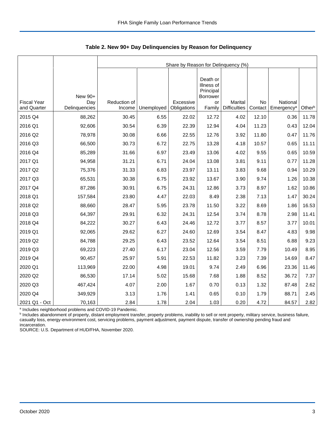|                                   |                      | Share by Reason for Delinquency (%) |            |                          |                                                        |                                       |                      |                                    |        |  |  |
|-----------------------------------|----------------------|-------------------------------------|------------|--------------------------|--------------------------------------------------------|---------------------------------------|----------------------|------------------------------------|--------|--|--|
|                                   | New 90+              |                                     |            |                          | Death or<br>Illness of<br>Principal<br><b>Borrower</b> |                                       |                      |                                    |        |  |  |
| <b>Fiscal Year</b><br>and Quarter | Day<br>Delinquencies | Reduction of<br>Income              | Unemployed | Excessive<br>Obligations | or<br>Family                                           | <b>Marital</b><br><b>Difficulties</b> | <b>No</b><br>Contact | National<br>Emergency <sup>a</sup> | Otherb |  |  |
| 2015 Q4                           | 88,262               | 30.45                               | 6.55       | 22.02                    | 12.72                                                  | 4.02                                  | 12.10                | 0.36                               | 11.78  |  |  |
| 2016 Q1                           | 92,606               | 30.54                               | 6.39       | 22.39                    | 12.94                                                  | 4.04                                  | 11.23                | 0.43                               | 12.04  |  |  |
| 2016 Q2                           | 78,978               | 30.08                               | 6.66       | 22.55                    | 12.76                                                  | 3.92                                  | 11.80                | 0.47                               | 11.76  |  |  |
| 2016 Q3                           | 66,500               | 30.73                               | 6.72       | 22.75                    | 13.28                                                  | 4.18                                  | 10.57                | 0.65                               | 11.11  |  |  |
| 2016 Q4                           | 85,289               | 31.66                               | 6.97       | 23.49                    | 13.06                                                  | 4.02                                  | 9.55                 | 0.65                               | 10.59  |  |  |
| 2017 Q1                           | 94,958               | 31.21                               | 6.71       | 24.04                    | 13.08                                                  | 3.81                                  | 9.11                 | 0.77                               | 11.28  |  |  |
| 2017 Q2                           | 75,376               | 31.33                               | 6.83       | 23.97                    | 13.11                                                  | 3.83                                  | 9.68                 | 0.94                               | 10.29  |  |  |
| 2017 Q3                           | 65,531               | 30.38                               | 6.75       | 23.92                    | 13.67                                                  | 3.90                                  | 9.74                 | 1.26                               | 10.38  |  |  |
| 2017 Q4                           | 87,286               | 30.91                               | 6.75       | 24.31                    | 12.86                                                  | 3.73                                  | 8.97                 | 1.62                               | 10.86  |  |  |
| 2018 Q1                           | 157,584              | 23.80                               | 4.47       | 22.03                    | 8.49                                                   | 2.38                                  | 7.13                 | 1.47                               | 30.24  |  |  |
| 2018 Q2                           | 88,660               | 28.47                               | 5.95       | 23.78                    | 11.50                                                  | 3.22                                  | 8.69                 | 1.86                               | 16.53  |  |  |
| 2018 Q3                           | 64,397               | 29.91                               | 6.32       | 24.31                    | 12.54                                                  | 3.74                                  | 8.78                 | 2.98                               | 11.41  |  |  |
| 2018 Q4                           | 84,222               | 30.27                               | 6.43       | 24.46                    | 12.72                                                  | 3.77                                  | 8.57                 | 3.77                               | 10.01  |  |  |
| 2019 Q1                           | 92,065               | 29.62                               | 6.27       | 24.60                    | 12.69                                                  | 3.54                                  | 8.47                 | 4.83                               | 9.98   |  |  |
| 2019 Q2                           | 84,788               | 29.25                               | 6.43       | 23.52                    | 12.64                                                  | 3.54                                  | 8.51                 | 6.88                               | 9.23   |  |  |
| 2019 Q3                           | 69,223               | 27.40                               | 6.17       | 23.04                    | 12.56                                                  | 3.59                                  | 7.79                 | 10.49                              | 8.95   |  |  |
| 2019 Q4                           | 90,457               | 25.97                               | 5.91       | 22.53                    | 11.82                                                  | 3.23                                  | 7.39                 | 14.69                              | 8.47   |  |  |
| 2020 Q1                           | 113,969              | 22.00                               | 4.98       | 19.01                    | 9.74                                                   | 2.49                                  | 6.96                 | 23.36                              | 11.46  |  |  |
| 2020 Q2                           | 86,530               | 17.14                               | 5.02       | 15.68                    | 7.68                                                   | 1.88                                  | 8.52                 | 36.72                              | 7.37   |  |  |
| 2020 Q3                           | 467,424              | 4.07                                | 2.00       | 1.67                     | 0.70                                                   | 0.13                                  | 1.32                 | 87.48                              | 2.62   |  |  |
| 2020 Q4                           | 349,929              | 3.13                                | 1.76       | 1.41                     | 0.65                                                   | 0.10                                  | 1.79                 | 88.71                              | 2.45   |  |  |
| 2021 Q1 - Oct                     | 70,163               | 2.84                                | 1.78       | 2.04                     | 1.03                                                   | 0.20                                  | 4.72                 | 84.57                              | 2.82   |  |  |

<span id="page-3-0"></span>**Table 2. New 90+ Day Delinquencies by Reason for Delinquency**

a Includes neighborhood problems and COVID-19 Pandemic.

**b** Includes abandonment of property, distant employment transfer, property problems, inability to sell or rent property, military service, business failure, casualty loss, energy-environment cost, servicing problems, payment adjustment, payment dispute, transfer of ownership pending fraud and incarceration.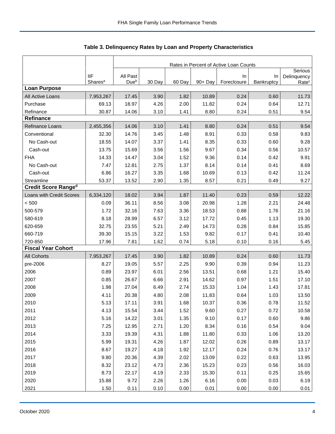|                            |                     | Rates in Percent of Active Loan Counts |        |        |         |                   |                  |                                  |  |  |  |
|----------------------------|---------------------|----------------------------------------|--------|--------|---------|-------------------|------------------|----------------------------------|--|--|--|
|                            | <b>IIF</b>          | All Past                               |        |        |         |                   |                  | Serious                          |  |  |  |
|                            | Shares <sup>a</sup> | Due <sup>b</sup>                       | 30 Day | 60 Day | 90+ Day | In<br>Foreclosure | In<br>Bankruptcy | Delinquency<br>Rate <sup>c</sup> |  |  |  |
| <b>Loan Purpose</b>        |                     |                                        |        |        |         |                   |                  |                                  |  |  |  |
| All Active Loans           | 7,953,267           | 17.45                                  | 3.90   | 1.82   | 10.89   | 0.24              | 0.60             | 11.73                            |  |  |  |
| Purchase                   | 69.13               | 18.97                                  | 4.26   | 2.00   | 11.82   | 0.24              | 0.64             | 12.71                            |  |  |  |
| Refinance                  | 30.87               | 14.06                                  | 3.10   | 1.41   | 8.80    | 0.24              | 0.51             | 9.54                             |  |  |  |
| <b>Refinance</b>           |                     |                                        |        |        |         |                   |                  |                                  |  |  |  |
| Refinance Loans            | 2,455,356           | 14.06                                  | 3.10   | 1.41   | 8.80    | 0.24              | 0.51             | 9.54                             |  |  |  |
| Conventional               | 32.30               | 14.76                                  | 3.45   | 1.48   | 8.91    | 0.33              | 0.58             | 9.83                             |  |  |  |
| No Cash-out                | 18.55               | 14.07                                  | 3.37   | 1.41   | 8.35    | 0.33              | 0.60             | 9.28                             |  |  |  |
| Cash-out                   | 13.75               | 15.69                                  | 3.56   | 1.56   | 9.67    | 0.34              | 0.56             | 10.57                            |  |  |  |
| <b>FHA</b>                 | 14.33               | 14.47                                  | 3.04   | 1.52   | 9.36    | 0.14              | 0.42             | 9.91                             |  |  |  |
| No Cash-out                | 7.47                | 12.81                                  | 2.75   | 1.37   | 8.14    | 0.14              | 0.41             | 8.69                             |  |  |  |
| Cash-out                   | 6.86                | 16.27                                  | 3.35   | 1.68   | 10.69   | 0.13              | 0.42             | 11.24                            |  |  |  |
| Streamline                 | 53.37               | 13.52                                  | 2.90   | 1.35   | 8.57    | 0.21              | 0.49             | 9.27                             |  |  |  |
| <b>Credit Score Ranged</b> |                     |                                        |        |        |         |                   |                  |                                  |  |  |  |
| Loans with Credit Scores   | 6,334,120           | 18.02                                  | 3.94   | 1.87   | 11.40   | 0.23              | 0.59             | 12.22                            |  |  |  |
| < 500                      | 0.09                | 36.11                                  | 8.56   | 3.08   | 20.98   | 1.28              | 2.21             | 24.48                            |  |  |  |
| 500-579                    | 1.72                | 32.16                                  | 7.63   | 3.36   | 18.53   | 0.88              | 1.76             | 21.16                            |  |  |  |
| 580-619                    | 8.18                | 28.99                                  | 6.57   | 3.12   | 17.72   | 0.45              | 1.13             | 19.30                            |  |  |  |
| 620-659                    | 32.75               | 23.55                                  | 5.21   | 2.49   | 14.73   | 0.28              | 0.84             | 15.85                            |  |  |  |
| 660-719                    | 39.30               | 15.15                                  | 3.22   | 1.53   | 9.82    | 0.17              | 0.41             | 10.40                            |  |  |  |
| 720-850                    | 17.96               | 7.81                                   | 1.62   | 0.74   | 5.18    | 0.10              | 0.16             | 5.45                             |  |  |  |
| <b>Fiscal Year Cohort</b>  |                     |                                        |        |        |         |                   |                  |                                  |  |  |  |
| <b>All Cohorts</b>         | 7,953,267           | 17.45                                  | 3.90   | 1.82   | 10.89   | 0.24              | 0.60             | 11.73                            |  |  |  |
| pre-2006                   | 8.27                | 19.05                                  | 5.57   | 2.25   | 9.90    | 0.39              | 0.94             | 11.23                            |  |  |  |
| 2006                       | 0.89                | 23.97                                  | 6.01   | 2.56   | 13.51   | 0.68              | 1.21             | 15.40                            |  |  |  |
| 2007                       | 0.85                | 26.67                                  | 6.66   | 2.91   | 14.62   | 0.97              | 1.51             | 17.10                            |  |  |  |
| 2008                       | 1.98                | 27.04                                  | 6.49   | 2.74   | 15.33   | 1.04              | 1.43             | 17.81                            |  |  |  |
| 2009                       | 4.11                | 20.38                                  | 4.80   | 2.08   | 11.83   | 0.64              | 1.03             | 13.50                            |  |  |  |
| 2010                       | 5.13                | 17.11                                  | 3.91   | 1.68   | 10.37   | 0.36              | 0.78             | 11.52                            |  |  |  |
| 2011                       | 4.13                | 15.54                                  | 3.44   | 1.52   | 9.60    | 0.27              | 0.72             | 10.58                            |  |  |  |
| 2012                       | 5.16                | 14.22                                  | 3.01   | 1.35   | 9.10    | 0.17              | 0.60             | 9.86                             |  |  |  |
| 2013                       | 7.25                | 12.95                                  | 2.71   | 1.20   | 8.34    | 0.16              | 0.54             | 9.04                             |  |  |  |
| 2014                       | 3.33                | 19.39                                  | 4.31   | 1.88   | 11.80   | 0.33              | 1.06             | 13.20                            |  |  |  |
| 2015                       | 5.99                | 19.31                                  | 4.26   | 1.87   | 12.02   | 0.26              | 0.89             | 13.17                            |  |  |  |
| 2016                       | 8.67                | 19.27                                  | 4.18   | 1.92   | 12.17   | 0.24              | 0.76             | 13.17                            |  |  |  |
| 2017                       | 9.80                | 20.36                                  | 4.39   | 2.02   | 13.09   | 0.22              | 0.63             | 13.95                            |  |  |  |
| 2018                       | 8.32                | 23.12                                  | 4.73   | 2.36   | 15.23   | 0.23              | 0.56             | 16.03                            |  |  |  |
| 2019                       | 8.73                | 22.17                                  | 4.19   | 2.33   | 15.30   | 0.11              | 0.25             | 15.65                            |  |  |  |
| 2020                       | 15.88               | 9.72                                   | 2.26   | 1.26   | 6.16    | 0.00              | 0.03             | 6.19                             |  |  |  |
| 2021                       | 1.50                | 0.11                                   | 0.10   | 0.00   | 0.01    | 0.00              | 0.00             | 0.01                             |  |  |  |

<span id="page-4-0"></span>Table 3. Delinquency Rates by Loan and Property Characteristics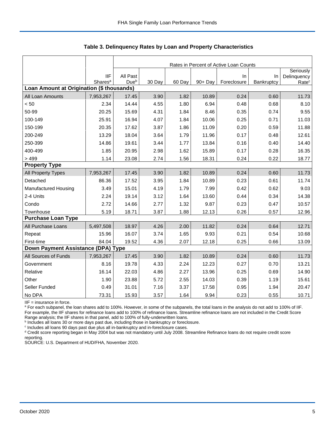|                                           |                     | Rates in Percent of Active Loan Counts |        |        |         |             |            |                   |  |  |  |
|-------------------------------------------|---------------------|----------------------------------------|--------|--------|---------|-------------|------------|-------------------|--|--|--|
|                                           |                     |                                        |        |        |         |             |            | Seriously         |  |  |  |
|                                           | <b>IIF</b>          | All Past                               |        |        |         | In          | In         | Delinquency       |  |  |  |
| Loan Amount at Origination (\$ thousands) | Shares <sup>a</sup> | Dueb                                   | 30 Day | 60 Day | 90+ Day | Foreclosure | Bankruptcy | Rate <sup>c</sup> |  |  |  |
| All Loan Amounts                          | 7,953,267           | 17.45                                  | 3.90   | 1.82   | 10.89   | 0.24        | 0.60       | 11.73             |  |  |  |
| < 50                                      | 2.34                | 14.44                                  | 4.55   | 1.80   | 6.94    | 0.48        | 0.68       | 8.10              |  |  |  |
| 50-99                                     | 20.25               | 15.69                                  | 4.31   | 1.84   | 8.46    | 0.35        | 0.74       | 9.55              |  |  |  |
| 100-149                                   | 25.91               | 16.94                                  | 4.07   | 1.84   | 10.06   | 0.25        | 0.71       | 11.03             |  |  |  |
|                                           |                     |                                        |        |        |         |             |            |                   |  |  |  |
| 150-199                                   | 20.35               | 17.62                                  | 3.87   | 1.86   | 11.09   | 0.20        | 0.59       | 11.88             |  |  |  |
| 200-249                                   | 13.29               | 18.04                                  | 3.64   | 1.79   | 11.96   | 0.17        | 0.48       | 12.61             |  |  |  |
| 250-399                                   | 14.86               | 19.61                                  | 3.44   | 1.77   | 13.84   | 0.16        | 0.40       | 14.40             |  |  |  |
| 400-499                                   | 1.85                | 20.95                                  | 2.98   | 1.62   | 15.89   | 0.17        | 0.28       | 16.35             |  |  |  |
| >499                                      | 1.14                | 23.08                                  | 2.74   | 1.56   | 18.31   | 0.24        | 0.22       | 18.77             |  |  |  |
| <b>Property Type</b>                      |                     |                                        |        |        |         |             |            |                   |  |  |  |
| All Property Types                        | 7,953,267           | 17.45                                  | 3.90   | 1.82   | 10.89   | 0.24        | 0.60       | 11.73             |  |  |  |
| Detached                                  | 86.36               | 17.52                                  | 3.95   | 1.84   | 10.89   | 0.23        | 0.61       | 11.74             |  |  |  |
| <b>Manufactured Housing</b>               | 3.49                | 15.01                                  | 4.19   | 1.79   | 7.99    | 0.42        | 0.62       | 9.03              |  |  |  |
| 2-4 Units                                 | 2.24                | 19.14                                  | 3.12   | 1.64   | 13.60   | 0.44        | 0.34       | 14.38             |  |  |  |
| Condo                                     | 2.72                | 14.66                                  | 2.77   | 1.32   | 9.87    | 0.23        | 0.47       | 10.57             |  |  |  |
| Townhouse                                 | 5.19                | 18.71                                  | 3.87   | 1.88   | 12.13   | 0.26        | 0.57       | 12.96             |  |  |  |
| <b>Purchase Loan Type</b>                 |                     |                                        |        |        |         |             |            |                   |  |  |  |
| All Purchase Loans                        | 5,497,508           | 18.97                                  | 4.26   | 2.00   | 11.82   | 0.24        | 0.64       | 12.71             |  |  |  |
| Repeat                                    | 15.96               | 16.07                                  | 3.74   | 1.65   | 9.93    | 0.21        | 0.54       | 10.68             |  |  |  |
| First-time                                | 84.04               | 19.52                                  | 4.36   | 2.07   | 12.18   | 0.25        | 0.66       | 13.09             |  |  |  |
| Down Payment Assistance (DPA) Type        |                     |                                        |        |        |         |             |            |                   |  |  |  |
| All Sources of Funds                      | 7,953,267           | 17.45                                  | 3.90   | 1.82   | 10.89   | 0.24        | 0.60       | 11.73             |  |  |  |
| Government                                | 8.16                | 19.78                                  | 4.33   | 2.24   | 12.23   | 0.27        | 0.70       | 13.21             |  |  |  |
| Relative                                  | 16.14               | 22.03                                  | 4.86   | 2.27   | 13.96   | 0.25        | 0.69       | 14.90             |  |  |  |
| Other                                     | 1.90                | 23.88                                  | 5.72   | 2.55   | 14.03   | 0.39        | 1.19       | 15.61             |  |  |  |
| Seller Funded                             | 0.49                | 31.01                                  | 7.16   | 3.37   | 17.58   | 0.95        | 1.94       | 20.47             |  |  |  |
| No DPA                                    | 73.31               | 15.93                                  | 3.57   | 1.64   | 9.94    | 0.23        | 0.55       | 10.71             |  |  |  |

**Table 3. Delinquency Rates by Loan and Property Characteristics**

IIF = insurance in force.

<sup>a</sup> For each subpanel, the loan shares add to 100%. However, in some of the subpanels, the total loans in the analysis do not add to 100% of IIF. For example, the IIF shares for refinance loans add to 100% of refinance loans. Streamline refinance loans are not included in the Credit Score

Range analysis; the IIF shares in that panel, add to 100% of fully-underwritten loans.<br><sup>b</sup> Includes all loans 30 or more days past due, including those in bankruptcy or foreclosure.

c Includes all loans 90 days past due plus all in-bankruptcy and in-foreclosure cases.

<sup>d</sup> Credit score reporting began in May 2004 but was not mandatory until July 2008. Streamline Refinance loans do not require credit score reporting.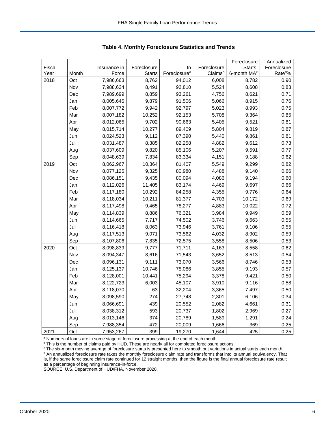|        |       |              |               |                          |             | Foreclosure             | Annualized           |
|--------|-------|--------------|---------------|--------------------------|-------------|-------------------------|----------------------|
| Fiscal |       | Insurance in | Foreclosure   | In                       | Foreclosure | Starts:                 | Foreclosure          |
| Year   | Month | Force        | <b>Starts</b> | Foreclosure <sup>a</sup> | Claimsb     | 6-month MA <sup>c</sup> | Rate <sup>do</sup> % |
| 2018   | Oct   | 7,986,663    | 8,762         | 94,012                   | 6,008       | 8,782                   | 0.90                 |
|        | Nov   | 7,988,634    | 8,491         | 92,810                   | 5,524       | 8,608                   | 0.83                 |
|        | Dec   | 7,989,699    | 8,859         | 93,261                   | 4,756       | 8,621                   | 0.71                 |
|        | Jan   | 8,005,645    | 9,879         | 91,506                   | 5,066       | 8,915                   | 0.76                 |
|        | Feb   | 8,007,772    | 9,942         | 92,797                   | 5,023       | 8,993                   | 0.75                 |
|        | Mar   | 8,007,182    | 10,252        | 92,153                   | 5,708       | 9,364                   | 0.85                 |
|        | Apr   | 8,012,065    | 9,702         | 90,663                   | 5,405       | 9,521                   | 0.81                 |
|        | May   | 8,015,714    | 10,277        | 89,409                   | 5,804       | 9,819                   | 0.87                 |
|        | Jun   | 8,024,523    | 9,112         | 87,390                   | 5,440       | 9,861                   | 0.81                 |
|        | Jul   | 8,031,487    | 8,385         | 82,258                   | 4,882       | 9,612                   | 0.73                 |
|        | Aug   | 8,037,609    | 9,820         | 85,106                   | 5,207       | 9,591                   | 0.77                 |
|        | Sep   | 8,048,639    | 7,834         | 83,334                   | 4,151       | 9,188                   | 0.62                 |
| 2019   | Oct   | 8,062,967    | 10,364        | 81,407                   | 5,549       | 9,299                   | 0.82                 |
|        | Nov   | 8,077,125    | 9,325         | 80,980                   | 4,488       | 9,140                   | 0.66                 |
|        | Dec   | 8,086,151    | 9,435         | 80,094                   | 4,086       | 9,194                   | 0.60                 |
|        | Jan   | 8,112,026    | 11,405        | 83,174                   | 4,469       | 9,697                   | 0.66                 |
|        | Feb   | 8,117,180    | 10,292        | 84,258                   | 4,355       | 9,776                   | 0.64                 |
|        | Mar   | 8,118,034    | 10,211        | 81,377                   | 4,703       | 10,172                  | 0.69                 |
|        | Apr   | 8,117,498    | 9,465         | 78,277                   | 4,883       | 10,022                  | 0.72                 |
|        | May   | 8,114,839    | 8,886         | 76,321                   | 3,984       | 9,949                   | 0.59                 |
|        | Jun   | 8,114,665    | 7,717         | 74,502                   | 3,746       | 9,663                   | 0.55                 |
|        | Jul   | 8,116,418    | 8,063         | 73,946                   | 3,761       | 9,106                   | 0.55                 |
|        | Aug   | 8,117,513    | 9,071         | 73,562                   | 4,032       | 8,902                   | 0.59                 |
|        | Sep   | 8,107,806    | 7,835         | 72,575                   | 3,558       | 8,506                   | 0.53                 |
| 2020   | Oct   | 8,098,839    | 9,777         | 71,711                   | 4,163       | 8,558                   | 0.62                 |
|        | Nov   | 8,094,347    | 8,616         | 71,543                   | 3,652       | 8,513                   | 0.54                 |
|        | Dec   | 8,096,131    | 9,111         | 73,070                   | 3,566       | 8,746                   | 0.53                 |
|        | Jan   | 8,125,137    | 10,746        | 75,086                   | 3,855       | 9,193                   | 0.57                 |
|        | Feb   | 8,128,001    | 10,441        | 75,294                   | 3,378       | 9,421                   | 0.50                 |
|        | Mar   | 8,122,723    | 6,003         | 45,107                   | 3,910       | 9,116                   | 0.58                 |
|        | Apr   | 8,118,070    | 63            | 32,204                   | 3,365       | 7,497                   | 0.50                 |
|        | May   | 8,098,590    | 274           | 27,748                   | 2,301       | 6,106                   | 0.34                 |
|        | Jun   | 8,066,691    | 439           | 20,552                   | 2,082       | 4,661                   | 0.31                 |
|        | Jul   | 8,038,312    | 593           | 20,737                   | 1,802       | 2,969                   | 0.27                 |
|        | Aug   | 8,013,146    | 374           | 20,789                   | 1,589       | 1,291                   | 0.24                 |
|        | Sep   | 7,988,354    | 472           | 20,009                   | 1,666       | 369                     | 0.25                 |
| 2021   | Oct   | 7,953,267    | 399           | 19,270                   | 1,644       | 425                     | 0.25                 |

<span id="page-6-0"></span>**Table 4. Monthly Foreclosure Statistics and Trends**

<sup>a</sup> Numbers of loans are in some stage of foreclosure processing at the end of each month.

b This is the number of claims paid by HUD. These are nearly all for completed foreclosure actions.

<sup>c</sup> The six-month moving average of foreclosure starts is presented here to smooth out variations in actual starts each month. <sup>d</sup> An annualized foreclosure rate takes the monthly foreclosure claim rate and transforms that into its annual equivalency. That is, if the same foreclosure claim rate continued for 12 straight months, then the figure is the final annual foreclosure rate result as a percentage of beginning insurance-in-force.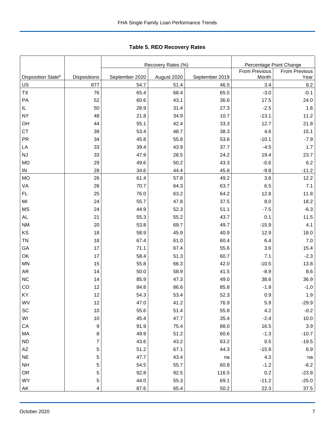|                                      |                     |                        | Recovery Rates (%)  | Percentage Point Change |                      |                      |  |
|--------------------------------------|---------------------|------------------------|---------------------|-------------------------|----------------------|----------------------|--|
|                                      |                     |                        |                     |                         | <b>From Previous</b> | <b>From Previous</b> |  |
| Disposition State <sup>b</sup><br>US | Dispositions<br>877 | September 2020<br>54.7 | August 2020<br>51.4 | September 2019<br>46.5  | Month<br>3.4         | Year<br>8.2          |  |
| TX                                   | 76                  | 65.4                   | 68.4                | 65.5                    | $-3.0$               | $-0.1$               |  |
|                                      |                     |                        |                     |                         |                      |                      |  |
| PA                                   | 52                  | 60.6                   | 43.1                | 36.6                    | 17.5                 | 24.0                 |  |
| IL.                                  | 50                  | 28.9                   | 31.4                | 27.3                    | $-2.5$               | 1.6                  |  |
| NY                                   | 48                  | 21.8                   | 34.9                | 10.7                    | $-13.1$              | 11.2                 |  |
| OH                                   | 44                  | 55.1                   | 42.4                | 33.3                    | 12.7                 | 21.8                 |  |
| <b>CT</b>                            | 39                  | 53.4                   | 48.7                | 38.3                    | 4.6                  | 15.1                 |  |
| <b>PR</b>                            | 34                  | 45.8                   | 55.8                | 53.6                    | $-10.1$              | $-7.9$               |  |
| LA                                   | 33                  | 39.4                   | 43.9                | 37.7                    | $-4.5$               | 1.7                  |  |
| <b>NJ</b>                            | 33                  | 47.9                   | 28.5                | 24.2                    | 19.4                 | 23.7                 |  |
| <b>MD</b>                            | 29                  | 49.6                   | 50.2                | 43.3                    | $-0.6$               | 6.2                  |  |
| IN                                   | 28                  | 34.6                   | 44.4                | 45.8                    | $-9.8$               | $-11.2$              |  |
| MO                                   | 26                  | 61.4                   | 57.8                | 49.2                    | 3.6                  | 12.2                 |  |
| VA                                   | 26                  | 70.7                   | 64.3                | 63.7                    | 6.5                  | 7.1                  |  |
| FL                                   | 25                  | 76.0                   | 63.2                | 64.2                    | 12.8                 | 11.8                 |  |
| MI                                   | 24                  | 55.7                   | 47.8                | 37.5                    | 8.0                  | 18.2                 |  |
| MS                                   | 24                  | 44.9                   | 52.3                | 51.1                    | $-7.5$               | $-6.3$               |  |
| AL                                   | 21                  | 55.3                   | 55.2                | 43.7                    | 0.1                  | 11.5                 |  |
| <b>NM</b>                            | 20                  | 53.8                   | 69.7                | 49.7                    | $-15.9$              | 4.1                  |  |
| KS                                   | 18                  | 58.9                   | 45.9                | 40.9                    | 12.9                 | 18.0                 |  |
| <b>TN</b>                            | 18                  | 67.4                   | 61.0                | 60.4                    | 6.4                  | 7.0                  |  |
| GA                                   | 17                  | 71.1                   | 67.4                | 55.6                    | 3.6                  | 15.4                 |  |
| OK                                   | 17                  | 58.4                   | 51.3                | 60.7                    | 7.1                  | $-2.3$               |  |
| MN                                   | 15                  | 55.8                   | 66.3                | 42.0                    | $-10.5$              | 13.8                 |  |
| AR                                   | 14                  | 50.0                   | 58.9                | 41.5                    | $-8.9$               | 8.6                  |  |
| <b>NC</b>                            | 14                  | 85.9                   | 47.3                | 49.0                    | 38.6                 | 36.9                 |  |
| CO                                   | 12                  | 84.8                   | 86.6                | 85.8                    | $-1.9$               | $-1.0$               |  |
| KY                                   | 12                  | 54.3                   | 53.4                | 52.3                    | 0.9                  | 1.9                  |  |
| WV                                   | 12                  | 47.0                   | 41.2                | 76.9                    | 5.9                  | -29.9                |  |
| SC                                   | 10                  | 55.6                   | 51.4                | 55.8                    | 4.2                  | $-0.2$               |  |
| WI                                   | 10                  | 45.4                   | 47.7                | 35.4                    | $-2.4$               | 10.0                 |  |
| СA                                   | 9                   | 91.9                   | 75.4                | 88.0                    | 16.5                 | 3.9                  |  |
| MA                                   | 8                   | 49.9                   | 51.2                | 60.6                    | $-1.3$               | $-10.7$              |  |
| <b>ND</b>                            | $\boldsymbol{7}$    | 43.6                   | 43.2                | 63.2                    | 0.5                  | $-19.5$              |  |
| AZ                                   | 5                   | 51.2                   | 67.1                | 44.3                    | $-15.9$              | 6.9                  |  |
| <b>NE</b>                            | 5                   | 47.7                   | 43.4                | na                      | 4.3                  | na                   |  |
| <b>NH</b>                            | 5                   | 54.5                   | 55.7                | 60.8                    | $-1.2$               | $-6.2$               |  |
| OR                                   | $\mathbf 5$         | 92.8                   | 92.5                | 116.5                   | 0.2                  | $-23.8$              |  |
| WY                                   | 5                   | 44.0                   | 55.3                | 69.1                    | $-11.2$              | $-25.0$              |  |

AK 4 | 87.6 | 65.4 | 50.2 | 22.3 | 37.5

<span id="page-7-0"></span>

|  |  |  | <b>Table 5. REO Recovery Rates</b> |  |
|--|--|--|------------------------------------|--|
|--|--|--|------------------------------------|--|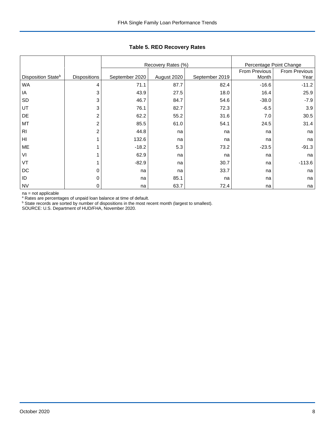|                                |                     |                | Recovery Rates (%) |                        | Percentage Point Change      |          |
|--------------------------------|---------------------|----------------|--------------------|------------------------|------------------------------|----------|
| Disposition State <sup>b</sup> | <b>Dispositions</b> | September 2020 | August 2020        | From Previous<br>Month | <b>From Previous</b><br>Year |          |
| <b>WA</b>                      | 4                   | 71.1           | 87.7               | 82.4                   | $-16.6$                      | $-11.2$  |
| ΙA                             | 3                   | 43.9           | 27.5               | 18.0                   | 16.4                         | 25.9     |
| <b>SD</b>                      | 3                   | 46.7           | 84.7               | 54.6                   | $-38.0$                      | $-7.9$   |
| UT                             | 3                   | 76.1           | 82.7               | 72.3                   | $-6.5$                       | 3.9      |
| DE                             | 2                   | 62.2           | 55.2               | 31.6                   | 7.0                          | 30.5     |
| MT                             | $\overline{c}$      | 85.5           | 61.0               | 54.1                   | 24.5                         | 31.4     |
| R <sub>l</sub>                 | $\overline{2}$      | 44.8           | na                 | na                     | na                           | na       |
| HI                             |                     | 132.6          | na                 | na                     | na                           | na       |
| ME                             |                     | $-18.2$        | 5.3                | 73.2                   | $-23.5$                      | $-91.3$  |
| VI                             |                     | 62.9           | na                 | na                     | na                           | na       |
| VT                             |                     | $-82.9$        | na                 | 30.7                   | na                           | $-113.6$ |
| DC                             | 0                   | na             | na                 | 33.7                   | na                           | na       |
| ID                             | 0                   | na             | 85.1               | na                     | na                           | na       |
| <b>NV</b>                      | 0                   | na             | 63.7               | 72.4                   | na                           | na       |

## **Table 5. REO Recovery Rates**

na = not applicable

<sup>a</sup> Rates are percentages of unpaid loan balance at time of default.

 $\rm b$  State records are sorted by number of dispositions in the most recent month (largest to smallest).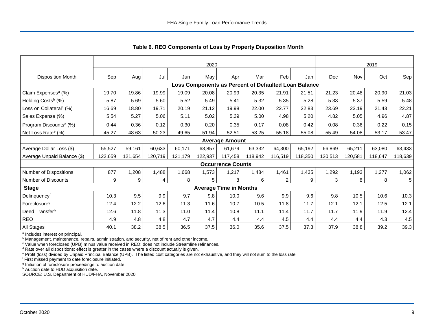|                                                      |         | 2020    |         |         |         |                               |         |         |         |         |         | 2019    |         |  |  |
|------------------------------------------------------|---------|---------|---------|---------|---------|-------------------------------|---------|---------|---------|---------|---------|---------|---------|--|--|
| <b>Disposition Month</b>                             | Sep     | Aug     | Jul     | Jun     | May     | Apr                           | Mar     | Feb     | Jan     | Dec     | Nov     | Oct     | Sep     |  |  |
| Loss Components as Percent of Defaulted Loan Balance |         |         |         |         |         |                               |         |         |         |         |         |         |         |  |  |
| Claim Expenses <sup>a</sup> (%)                      | 19.70   | 19.86   | 19.99   | 19.09   | 20.08   | 20.99                         | 20.35   | 21.91   | 21.51   | 21.23   | 20.48   | 20.90   | 21.03   |  |  |
| Holding Costs <sup>b</sup> (%)                       | 5.87    | 5.69    | 5.60    | 5.52    | 5.49    | 5.41                          | 5.32    | 5.35    | 5.28    | 5.33    | 5.37    | 5.59    | 5.48    |  |  |
| Loss on Collateral <sup>c</sup> (%)                  | 16.69   | 18.80   | 19.71   | 20.19   | 21.12   | 19.98                         | 22.00   | 22.77   | 22.83   | 23.69   | 23.19   | 21.43   | 22.21   |  |  |
| Sales Expense (%)                                    | 5.54    | 5.27    | 5.06    | 5.11    | 5.02    | 5.39                          | 5.00    | 4.98    | 5.20    | 4.82    | 5.05    | 4.96    | 4.87    |  |  |
| Program Discounts <sup>d</sup> (%)                   | 0.44    | 0.36    | 0.12    | 0.30    | 0.20    | 0.35                          | 0.17    | 0.08    | 0.42    | 0.08    | 0.36    | 0.22    | 0.15    |  |  |
| Net Loss Rate <sup>e</sup> (%)                       | 45.27   | 48.63   | 50.23   | 49.65   | 51.94   | 52.51                         | 53.25   | 55.18   | 55.08   | 55.49   | 54.08   | 53.17   | 53.47   |  |  |
|                                                      |         |         |         |         |         | <b>Average Amount</b>         |         |         |         |         |         |         |         |  |  |
| Average Dollar Loss (\$)                             | 55,527  | 59,161  | 60,633  | 60.171  | 63.857  | 61.679                        | 63,332  | 64,300  | 65,192  | 66,869  | 65,211  | 63.080  | 63,433  |  |  |
| Average Unpaid Balance (\$)                          | 122,659 | 121,654 | 120,719 | 121,179 | 122,937 | 117,458                       | 118,942 | 116,519 | 118,350 | 120,513 | 120,581 | 118,647 | 118,639 |  |  |
|                                                      |         |         |         |         |         | <b>Occurrence Counts</b>      |         |         |         |         |         |         |         |  |  |
| Number of Dispositions                               | 877     | 1,208   | 1,488   | 1,668   | 1,573   | 1,217                         | 1,484   | 1,461   | 1,435   | 1,292   | 1,193   | 1,277   | 1,062   |  |  |
| Number of Discounts                                  | 9       | 9       | 4       | 8       | 5       | 8                             | 6       | 2       | 9       | 3       | 8       | 8       | 5       |  |  |
| <b>Stage</b>                                         |         |         |         |         |         | <b>Average Time in Months</b> |         |         |         |         |         |         |         |  |  |
| Delinquencyf                                         | 10.3    | 9.5     | 9.9     | 9.7     | 9.8     | 10.0                          | 9.6     | 9.9     | 9.6     | 9.8     | 10.5    | 10.6    | 10.3    |  |  |
| Foreclosure <sup>9</sup>                             | 12.4    | 12.2    | 12.6    | 11.3    | 11.6    | 10.7                          | 10.5    | 11.8    | 11.7    | 12.1    | 12.1    | 12.5    | 12.1    |  |  |
| Deed Transferh                                       | 12.6    | 11.8    | 11.3    | 11.0    | 11.4    | 10.8                          | 11.1    | 11.4    | 11.7    | 11.7    | 11.9    | 11.9    | 12.4    |  |  |
| <b>REO</b>                                           | 4.9     | 4.8     | 4.8     | 4.7     | 4.7     | 4.4                           | 4.4     | 4.5     | 4.4     | 4.4     | 4.4     | 4.3     | 4.5     |  |  |
| All Stages                                           | 40.1    | 38.2    | 38.5    | 36.5    | 37.5    | 36.0                          | 35.6    | 37.5    | 37.3    | 37.9    | 38.8    | 39.2    | 39.3    |  |  |

<span id="page-9-0"></span>**Table 6. REO Components of Loss by Property Disposition Month**

<sup>a</sup> Includes interest on principal.

**b** Management, maintenance, repairs, administration, and security, net of rent and other income.

<sup>c</sup> Value when foreclosed (UPB) minus value received in REO; does not include Streamline refinances.

<sup>d</sup> Rate over all dispositions; effect is greater in the cases where a discount actually is given.

<sup>e</sup> Profit (loss) divided by Unpaid Principal Balance (UPB). The listed cost categories are not exhaustive, and they will not sum to the loss rate

<sup>f</sup> First missed payment to date foreclosure initiated.

<sup>g</sup> Initiation of foreclosure proceedings to auction date.

h Auction date to HUD acquisition date.